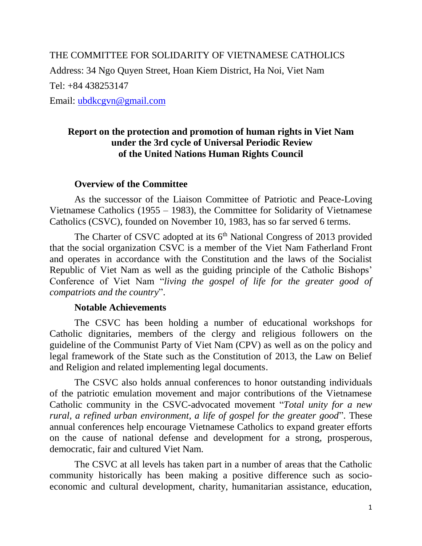THE COMMITTEE FOR SOLIDARITY OF VIETNAMESE CATHOLICS Address: 34 Ngo Quyen Street, Hoan Kiem District, Ha Noi, Viet Nam Tel: +84 438253147 Email: [ubdkcgvn@gmail.com](mailto:ubdkcgvn@gmail.com)

**Report on the protection and promotion of human rights in Viet Nam under the 3rd cycle of Universal Periodic Review of the United Nations Human Rights Council**

## **Overview of the Committee**

As the successor of the Liaison Committee of Patriotic and Peace-Loving Vietnamese Catholics (1955 – 1983), the Committee for Solidarity of Vietnamese Catholics (CSVC), founded on November 10, 1983, has so far served 6 terms.

The Charter of CSVC adopted at its  $6<sup>th</sup>$  National Congress of 2013 provided that the social organization CSVC is a member of the Viet Nam Fatherland Front and operates in accordance with the Constitution and the laws of the Socialist Republic of Viet Nam as well as the guiding principle of the Catholic Bishops' Conference of Viet Nam "*living the gospel of life for the greater good of compatriots and the country*".

## **Notable Achievements**

The CSVC has been holding a number of educational workshops for Catholic dignitaries, members of the clergy and religious followers on the guideline of the Communist Party of Viet Nam (CPV) as well as on the policy and legal framework of the State such as the Constitution of 2013, the Law on Belief and Religion and related implementing legal documents.

The CSVC also holds annual conferences to honor outstanding individuals of the patriotic emulation movement and major contributions of the Vietnamese Catholic community in the CSVC-advocated movement "*Total unity for a new rural, a refined urban environment, a life of gospel for the greater good*". These annual conferences help encourage Vietnamese Catholics to expand greater efforts on the cause of national defense and development for a strong, prosperous, democratic, fair and cultured Viet Nam.

The CSVC at all levels has taken part in a number of areas that the Catholic community historically has been making a positive difference such as socioeconomic and cultural development, charity, humanitarian assistance, education,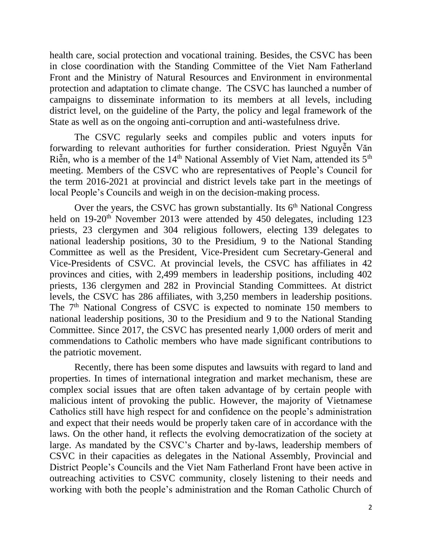health care, social protection and vocational training. Besides, the CSVC has been in close coordination with the Standing Committee of the Viet Nam Fatherland Front and the Ministry of Natural Resources and Environment in environmental protection and adaptation to climate change. The CSVC has launched a number of campaigns to disseminate information to its members at all levels, including district level, on the guideline of the Party, the policy and legal framework of the State as well as on the ongoing anti-corruption and anti-wastefulness drive.

The CSVC regularly seeks and compiles public and voters inputs for forwarding to relevant authorities for further consideration. Priest Nguyễn Văn Riễn, who is a member of the 14<sup>th</sup> National Assembly of Viet Nam, attended its 5<sup>th</sup> meeting. Members of the CSVC who are representatives of People's Council for the term 2016-2021 at provincial and district levels take part in the meetings of local People's Councils and weigh in on the decision-making process.

Over the years, the CSVC has grown substantially. Its  $6<sup>th</sup>$  National Congress held on 19-20<sup>th</sup> November 2013 were attended by 450 delegates, including 123 priests, 23 clergymen and 304 religious followers, electing 139 delegates to national leadership positions, 30 to the Presidium, 9 to the National Standing Committee as well as the President, Vice-President cum Secretary-General and Vice-Presidents of CSVC. At provincial levels, the CSVC has affiliates in 42 provinces and cities, with 2,499 members in leadership positions, including 402 priests, 136 clergymen and 282 in Provincial Standing Committees. At district levels, the CSVC has 286 affiliates, with 3,250 members in leadership positions. The  $7<sup>th</sup>$  National Congress of CSVC is expected to nominate 150 members to national leadership positions, 30 to the Presidium and 9 to the National Standing Committee. Since 2017, the CSVC has presented nearly 1,000 orders of merit and commendations to Catholic members who have made significant contributions to the patriotic movement.

Recently, there has been some disputes and lawsuits with regard to land and properties. In times of international integration and market mechanism, these are complex social issues that are often taken advantage of by certain people with malicious intent of provoking the public. However, the majority of Vietnamese Catholics still have high respect for and confidence on the people's administration and expect that their needs would be properly taken care of in accordance with the laws. On the other hand, it reflects the evolving democratization of the society at large. As mandated by the CSVC's Charter and by-laws, leadership members of CSVC in their capacities as delegates in the National Assembly, Provincial and District People's Councils and the Viet Nam Fatherland Front have been active in outreaching activities to CSVC community, closely listening to their needs and working with both the people's administration and the Roman Catholic Church of